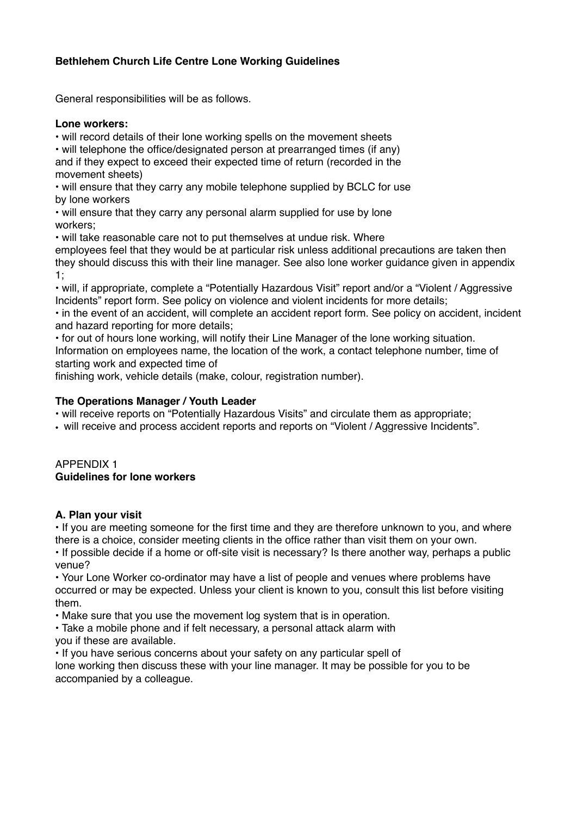## **Bethlehem Church Life Centre Lone Working Guidelines**

General responsibilities will be as follows.

#### **Lone workers:**

• will record details of their lone working spells on the movement sheets

• will telephone the office/designated person at prearranged times (if any) and if they expect to exceed their expected time of return (recorded in the movement sheets)

• will ensure that they carry any mobile telephone supplied by BCLC for use by lone workers

• will ensure that they carry any personal alarm supplied for use by lone workers;

• will take reasonable care not to put themselves at undue risk. Where

employees feel that they would be at particular risk unless additional precautions are taken then they should discuss this with their line manager. See also lone worker guidance given in appendix 1;

• will, if appropriate, complete a "Potentially Hazardous Visit" report and/or a "Violent / Aggressive Incidents" report form. See policy on violence and violent incidents for more details;

• in the event of an accident, will complete an accident report form. See policy on accident, incident and hazard reporting for more details;

• for out of hours lone working, will notify their Line Manager of the lone working situation. Information on employees name, the location of the work, a contact telephone number, time of starting work and expected time of

finishing work, vehicle details (make, colour, registration number).

#### **The Operations Manager / Youth Leader**

- will receive reports on "Potentially Hazardous Visits" and circulate them as appropriate;
- will receive and process accident reports and reports on "Violent / Aggressive Incidents".

#### APPENDIX 1 **Guidelines for lone workers**

#### **A. Plan your visit**

• If you are meeting someone for the first time and they are therefore unknown to you, and where there is a choice, consider meeting clients in the office rather than visit them on your own.

• If possible decide if a home or off-site visit is necessary? Is there another way, perhaps a public venue?

• Your Lone Worker co-ordinator may have a list of people and venues where problems have occurred or may be expected. Unless your client is known to you, consult this list before visiting them.

• Make sure that you use the movement log system that is in operation.

• Take a mobile phone and if felt necessary, a personal attack alarm with you if these are available.

• If you have serious concerns about your safety on any particular spell of

lone working then discuss these with your line manager. It may be possible for you to be accompanied by a colleague.